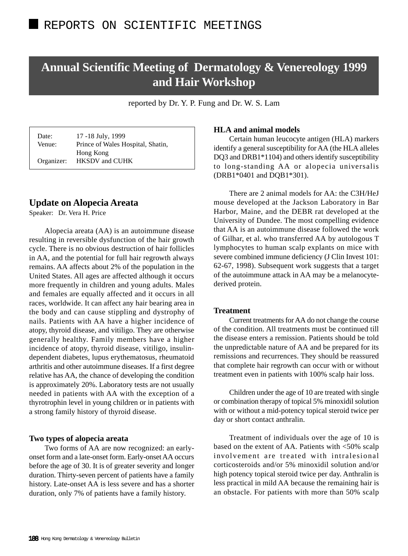# **Annual Scientific Meeting of Dermatology & Venereology 1999 and Hair Workshop**

reported by Dr. Y. P. Fung and Dr. W. S. Lam

Date: 17 -18 July, 1999 Venue: Prince of Wales Hospital, Shatin, Hong Kong Organizer: HKSDV and CUHK

# **Update on Alopecia Areata**

Speaker: Dr. Vera H. Price

Alopecia areata (AA) is an autoimmune disease resulting in reversible dysfunction of the hair growth cycle. There is no obvious destruction of hair follicles in AA, and the potential for full hair regrowth always remains. AA affects about 2% of the population in the United States. All ages are affected although it occurs more frequently in children and young adults. Males and females are equally affected and it occurs in all races, worldwide. It can affect any hair bearing area in the body and can cause stippling and dystrophy of nails. Patients with AA have a higher incidence of atopy, thyroid disease, and vitiligo. They are otherwise generally healthy. Family members have a higher incidence of atopy, thyroid disease, vitiligo, insulindependent diabetes, lupus erythematosus, rheumatoid arthritis and other autoimmune diseases. If a first degree relative has AA, the chance of developing the condition is approximately 20%. Laboratory tests are not usually needed in patients with AA with the exception of a thyrotrophin level in young children or in patients with a strong family history of thyroid disease.

#### **Two types of alopecia areata**

Two forms of AA are now recognized: an earlyonset form and a late-onset form. Early-onset AA occurs before the age of 30. It is of greater severity and longer duration. Thirty-seven percent of patients have a family history. Late-onset AA is less severe and has a shorter duration, only 7% of patients have a family history.

## **HLA and animal models**

Certain human leucocyte antigen (HLA) markers identify a general susceptibility for AA (the HLA alleles DQ3 and DRB1\*1104) and others identify susceptibility to long-standing AA or alopecia universalis (DRB1\*0401 and DQB1\*301).

There are 2 animal models for AA: the C3H/HeJ mouse developed at the Jackson Laboratory in Bar Harbor, Maine, and the DEBR rat developed at the University of Dundee. The most compelling evidence that AA is an autoimmune disease followed the work of Gilhar, et al. who transferred AA by autologous T lymphocytes to human scalp explants on mice with severe combined immune deficiency (J Clin Invest 101: 62-67, 1998). Subsequent work suggests that a target of the autoimmune attack in AA may be a melanocytederived protein.

#### **Treatment**

Current treatments for AA do not change the course of the condition. All treatments must be continued till the disease enters a remission. Patients should be told the unpredictable nature of AA and be prepared for its remissions and recurrences. They should be reassured that complete hair regrowth can occur with or without treatment even in patients with 100% scalp hair loss.

Children under the age of 10 are treated with single or combination therapy of topical 5% minoxidil solution with or without a mid-potency topical steroid twice per day or short contact anthralin.

Treatment of individuals over the age of 10 is based on the extent of AA. Patients with <50% scalp involvement are treated with intralesional corticosteroids and/or 5% minoxidil solution and/or high potency topical steroid twice per day. Anthralin is less practical in mild AA because the remaining hair is an obstacle. For patients with more than 50% scalp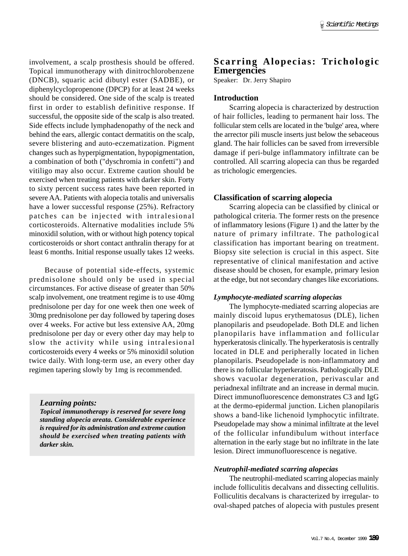involvement, a scalp prosthesis should be offered. Topical immunotherapy with dinitrochlorobenzene (DNCB), squaric acid dibutyl ester (SADBE), or diphenylcyclopropenone (DPCP) for at least 24 weeks should be considered. One side of the scalp is treated first in order to establish definitive response. If successful, the opposite side of the scalp is also treated. Side effects include lymphadenopathy of the neck and behind the ears, allergic contact dermatitis on the scalp, severe blistering and auto-eczematization. Pigment changes such as hyperpigmentation, hypopigmentation, a combination of both ("dyschromia in confetti") and vitiligo may also occur. Extreme caution should be exercised when treating patients with darker skin. Forty to sixty percent success rates have been reported in severe AA. Patients with alopecia totalis and universalis have a lower successful response (25%). Refractory patches can be injected with intralesional corticosteroids. Alternative modalities include 5% minoxidil solution, with or without high potency topical corticosteroids or short contact anthralin therapy for at least 6 months. Initial response usually takes 12 weeks.

Because of potential side-effects, systemic prednisolone should only be used in special circumstances. For active disease of greater than 50% scalp involvement, one treatment regime is to use 40mg prednisolone per day for one week then one week of 30mg prednisolone per day followed by tapering doses over 4 weeks. For active but less extensive AA, 20mg prednisolone per day or every other day may help to slow the activity while using intralesional corticosteroids every 4 weeks or 5% minoxidil solution twice daily. With long-term use, an every other day regimen tapering slowly by 1mg is recommended.

*Learning points:*

*Topical immunotherapy is reserved for severe long standing alopecia areata. Considerable experience is required for its administration and extreme caution should be exercised when treating patients with darker skin.*

# **Scarring Alopecias: Trichologic Emergencies**

Speaker: Dr. Jerry Shapiro

#### **Introduction**

Scarring alopecia is characterized by destruction of hair follicles, leading to permanent hair loss. The follicular stem cells are located in the 'bulge' area, where the arrector pili muscle inserts just below the sebaceous gland. The hair follicles can be saved from irreversible damage if peri-bulge inflammatory infiltrate can be controlled. All scarring alopecia can thus be regarded as trichologic emergencies.

#### **Classification of scarring alopecia**

Scarring alopecia can be classified by clinical or pathological criteria. The former rests on the presence of inflammatory lesions (Figure 1) and the latter by the nature of primary infiltrate. The pathological classification has important bearing on treatment. Biopsy site selection is crucial in this aspect. Site representative of clinical manifestation and active disease should be chosen, for example, primary lesion at the edge, but not secondary changes like excoriations.

#### *Lymphocyte-mediated scarring alopecias*

The lymphocyte-mediated scarring alopecias are mainly discoid lupus erythematosus (DLE), lichen planopilaris and pseudopelade. Both DLE and lichen planopilaris have inflammation and follicular hyperkeratosis clinically. The hyperkeratosis is centrally located in DLE and peripherally located in lichen planopilaris. Pseudopelade is non-inflammatory and there is no follicular hyperkeratosis. Pathologically DLE shows vacuolar degeneration, perivascular and periadnexal infiltrate and an increase in dermal mucin. Direct immunofluorescence demonstrates C3 and IgG at the dermo-epidermal junction. Lichen planopilaris shows a band-like lichenoid lymphocytic infiltrate. Pseudopelade may show a minimal infiltrate at the level of the follicular infundibulum without interface alternation in the early stage but no infiltrate in the late lesion. Direct immunofluorescence is negative.

#### *Neutrophil-mediated scarring alopecias*

The neutrophil-mediated scarring alopecias mainly include folliculitis decalvans and dissecting cellulitis. Folliculitis decalvans is characterized by irregular- to oval-shaped patches of alopecia with pustules present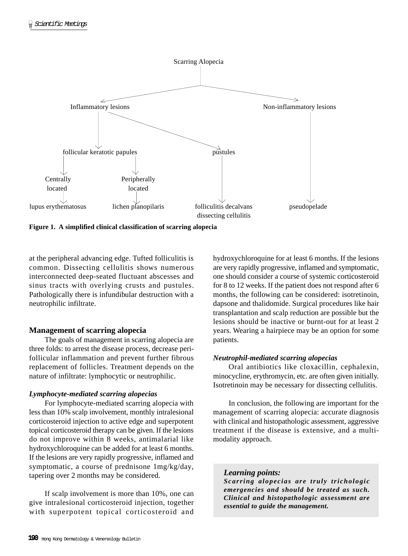

**Figure 1. A simplified clinical classification of scarring alopecia**

at the peripheral advancing edge. Tufted folliculitis is common. Dissecting cellulitis shows numerous interconnected deep-seated fluctuant abscesses and sinus tracts with overlying crusts and pustules. Pathologically there is infundibular destruction with a neutrophilic infiltrate.

# **Management of scarring alopecia**

The goals of management in scarring alopecia are three folds: to arrest the disease process, decrease perifollicular inflammation and prevent further fibrous replacement of follicles. Treatment depends on the nature of infiltrate: lymphocytic or neutrophilic.

## *Lymphocyte-mediated scarring alopecias*

For lymphocyte-mediated scarring alopecia with less than 10% scalp involvement, monthly intralesional corticosteroid injection to active edge and superpotent topical corticosteroid therapy can be given. If the lesions do not improve within 8 weeks, antimalarial like hydroxychloroquine can be added for at least 6 months. If the lesions are very rapidly progressive, inflamed and symptomatic, a course of prednisone 1mg/kg/day, tapering over 2 months may be considered.

If scalp involvement is more than 10%, one can give intralesional corticosteroid injection, together with superpotent topical corticosteroid and

hydroxychloroquine for at least 6 months. If the lesions are very rapidly progressive, inflamed and symptomatic, one should consider a course of systemic corticosteroid for 8 to 12 weeks. If the patient does not respond after 6 months, the following can be considered: isotretinoin, dapsone and thalidomide. Surgical procedures like hair transplantation and scalp reduction are possible but the lesions should be inactive or burnt-out for at least 2 years. Wearing a hairpiece may be an option for some patients.

## *Neutrophil-mediated scarring alopecias*

Oral antibiotics like cloxacillin, cephalexin, minocycline, erythromycin, etc. are often given initially. Isotretinoin may be necessary for dissecting cellulitis.

In conclusion, the following are important for the management of scarring alopecia: accurate diagnosis with clinical and histopathologic assessment, aggressive treatment if the disease is extensive, and a multimodality approach.

# *Learning points:*

*Scarring alopecias are truly trichologic emergencies and should be treated as such. Clinical and histopathologic assessment are essential to guide the management.*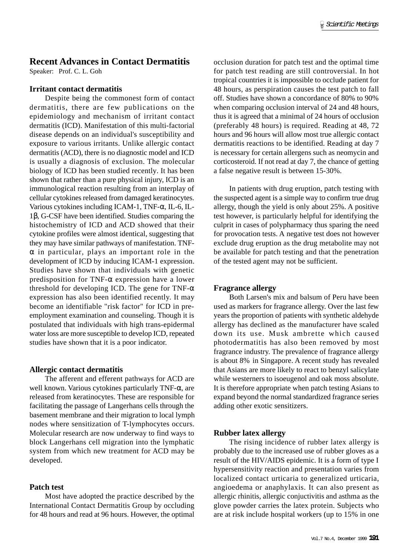# **Recent Advances in Contact Dermatitis**

Speaker: Prof. C. L. Goh

### **Irritant contact dermatitis**

Despite being the commonest form of contact dermatitis, there are few publications on the epidemiology and mechanism of irritant contact dermatitis (ICD). Manifestation of this multi-factorial disease depends on an individual's susceptibility and exposure to various irritants. Unlike allergic contact dermatitis (ACD), there is no diagnostic model and ICD is usually a diagnosis of exclusion. The molecular biology of ICD has been studied recently. It has been shown that rather than a pure physical injury, ICD is an immunological reaction resulting from an interplay of cellular cytokines released from damaged keratinocytes. Various cytokines including ICAM-1, TNF-α, IL-6, IL-1β, G-CSF have been identified. Studies comparing the histochemistry of ICD and ACD showed that their cytokine profiles were almost identical, suggesting that they may have similar pathways of manifestation. TNF- $\alpha$  in particular, plays an important role in the development of ICD by inducing ICAM-1 expression. Studies have shown that individuals with genetic predisposition for TNF- $\alpha$  expression have a lower threshold for developing ICD. The gene for TNF- $\alpha$ expression has also been identified recently. It may become an identifiable "risk factor" for ICD in preemployment examination and counseling. Though it is postulated that individuals with high trans-epidermal water loss are more susceptible to develop ICD, repeated studies have shown that it is a poor indicator.

## **Allergic contact dermatitis**

The afferent and efferent pathways for ACD are well known. Various cytokines particularly TNF-α, are released from keratinocytes. These are responsible for facilitating the passage of Langerhans cells through the basement membrane and their migration to local lymph nodes where sensitization of T-lymphocytes occurs. Molecular research are now underway to find ways to block Langerhans cell migration into the lymphatic system from which new treatment for ACD may be developed.

## **Patch test**

Most have adopted the practice described by the International Contact Dermatitis Group by occluding for 48 hours and read at 96 hours. However, the optimal

occlusion duration for patch test and the optimal time for patch test reading are still controversial. In hot tropical countries it is impossible to occlude patient for 48 hours, as perspiration causes the test patch to fall off. Studies have shown a concordance of 80% to 90% when comparing occlusion interval of 24 and 48 hours, thus it is agreed that a minimal of 24 hours of occlusion (preferably 48 hours) is required. Reading at 48, 72 hours and 96 hours will allow most true allergic contact dermatitis reactions to be identified. Reading at day 7 is necessary for certain allergens such as neomycin and corticosteroid. If not read at day 7, the chance of getting a false negative result is between 15-30%.

In patients with drug eruption, patch testing with the suspected agent is a simple way to confirm true drug allergy, though the yield is only about 25%. A positive test however, is particularly helpful for identifying the culprit in cases of polypharmacy thus sparing the need for provocation tests. A negative test does not however exclude drug eruption as the drug metabolite may not be available for patch testing and that the penetration of the tested agent may not be sufficient.

## **Fragrance allergy**

Both Larsen's mix and balsum of Peru have been used as markers for fragrance allergy. Over the last few years the proportion of patients with synthetic aldehyde allergy has declined as the manufacturer have scaled down its use. Musk ambrette which caused photodermatitis has also been removed by most fragrance industry. The prevalence of fragrance allergy is about 8% in Singapore. A recent study has revealed that Asians are more likely to react to benzyl salicylate while westerners to isoeugenol and oak moss absolute. It is therefore appropriate when patch testing Asians to expand beyond the normal standardized fragrance series adding other exotic sensitizers.

## **Rubber latex allergy**

The rising incidence of rubber latex allergy is probably due to the increased use of rubber gloves as a result of the HIV/AIDS epidemic. It is a form of type I hypersensitivity reaction and presentation varies from localized contact urticaria to generalized urticaria, angioedema or anaphylaxis. It can also present as allergic rhinitis, allergic conjuctivitis and asthma as the glove powder carries the latex protein. Subjects who are at risk include hospital workers (up to 15% in one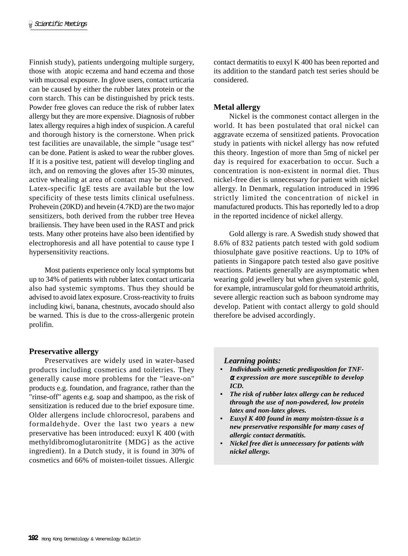Finnish study), patients undergoing multiple surgery, those with atopic eczema and hand eczema and those with mucosal exposure. In glove users, contact urticaria can be caused by either the rubber latex protein or the corn starch. This can be distinguished by prick tests. Powder free gloves can reduce the risk of rubber latex allergy but they are more expensive. Diagnosis of rubber latex allergy requires a high index of suspicion. A careful and thorough history is the cornerstone. When prick test facilities are unavailable, the simple "usage test" can be done. Patient is asked to wear the rubber gloves. If it is a positive test, patient will develop tingling and itch, and on removing the gloves after 15-30 minutes, active whealing at area of contact may be observed. Latex-specific IgE tests are available but the low specificity of these tests limits clinical usefulness. Prohevein (20KD) and hevein (4.7KD) are the two major sensitizers, both derived from the rubber tree Hevea brailiensis. They have been used in the RAST and prick tests. Many other proteins have also been identified by electrophoresis and all have potential to cause type I hypersensitivity reactions.

Most patients experience only local symptoms but up to 34% of patients with rubber latex contact urticaria also had systemic symptoms. Thus they should be advised to avoid latex exposure. Cross-reactivity to fruits including kiwi, banana, chestnuts, avocado should also be warned. This is due to the cross-allergenic protein prolifin.

## **Preservative allergy**

Preservatives are widely used in water-based products including cosmetics and toiletries. They generally cause more problems for the "leave-on" products e.g. foundation, and fragrance, rather than the "rinse-off" agents e.g. soap and shampoo, as the risk of sensitization is reduced due to the brief exposure time. Older allergens include chlorocresol, parabens and formaldehyde. Over the last two years a new preservative has been introduced: euxyl K 400 (with methyldibromoglutaronitrite {MDG} as the active ingredient). In a Dutch study, it is found in 30% of cosmetics and 66% of moisten-toilet tissues. Allergic contact dermatitis to euxyl K 400 has been reported and its addition to the standard patch test series should be considered.

# **Metal allergy**

Nickel is the commonest contact allergen in the world. It has been postulated that oral nickel can aggravate eczema of sensitized patients. Provocation study in patients with nickel allergy has now refuted this theory. Ingestion of more than 5mg of nickel per day is required for exacerbation to occur. Such a concentration is non-existent in normal diet. Thus nickel-free diet is unnecessary for patient with nickel allergy. In Denmark, regulation introduced in 1996 strictly limited the concentration of nickel in manufactured products. This has reportedly led to a drop in the reported incidence of nickel allergy.

Gold allergy is rare. A Swedish study showed that 8.6% of 832 patients patch tested with gold sodium thiosulphate gave positive reactions. Up to 10% of patients in Singapore patch tested also gave positive reactions. Patients generally are asymptomatic when wearing gold jewellery but when given systemic gold, for example, intramuscular gold for rheumatoid arthritis, severe allergic reaction such as baboon syndrome may develop. Patient with contact allergy to gold should therefore be advised accordingly.

#### *Learning points:*

- *Individuals with genetic predisposition for TNF*<sup>α</sup> *expression are more susceptible to develop ICD.*
- *The risk of rubber latex allergy can be reduced through the use of non-powdered, low protein latex and non-latex gloves.*
- *Euxyl K 400 found in many moisten-tissue is a new preservative responsible for many cases of allergic contact dermatitis.*
- *Nickel free diet is unnecessary for patients with nickel allergy.*